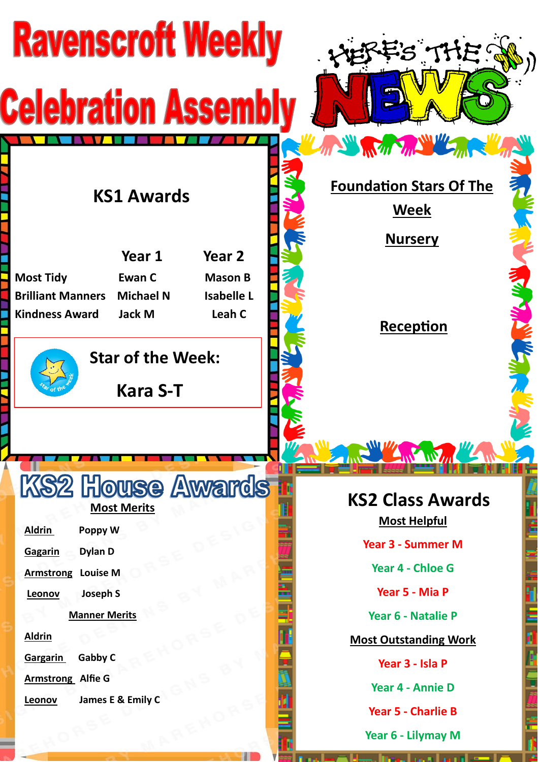| <b>Ravenscroft Weekly</b>                                                                                                                                                                                                                                                | FS THE !                                                                                       |
|--------------------------------------------------------------------------------------------------------------------------------------------------------------------------------------------------------------------------------------------------------------------------|------------------------------------------------------------------------------------------------|
| <b>Celebration Assembl</b>                                                                                                                                                                                                                                               |                                                                                                |
| <b>KS1 Awards</b><br>Year 1<br>Year <sub>2</sub><br><b>Most Tidy</b><br><b>Ewan C</b><br><b>Mason B</b><br><b>Isabelle L</b><br><b>Brilliant Manners</b><br><b>Michael N</b><br>Leah C<br><b>Kindness Award</b><br>Jack M<br><b>Star of the Week:</b><br><b>Kara S-T</b> | ANY REAL PARTY<br><b>Foundation Stars Of The</b><br><u>Week</u><br><b>Nursery</b><br>Reception |
|                                                                                                                                                                                                                                                                          | W Wm                                                                                           |
| <b>KS2 House Awards</b><br><b>Most Merits</b><br><b>Aldrin</b><br>Poppy W<br><b>Dylan D</b><br>Gagarin                                                                                                                                                                   | <b>KS2 Class Awards</b><br><b>Most Helpful</b><br><b>Year 3 - Summer M</b>                     |
| <b>Armstrong</b><br><b>Louise M</b><br><b>Joseph S</b><br>Leonov                                                                                                                                                                                                         | Year 4 - Chloe G<br>Year 5 - Mia P                                                             |
| <b>Manner Merits</b><br><b>Aldrin</b><br>Gabby C<br>Gargarin                                                                                                                                                                                                             | Year 6 - Natalie P<br><b>Most Outstanding Work</b>                                             |
| <b>Armstrong Alfie G</b><br>James E & Emily C<br>Leonov                                                                                                                                                                                                                  | Year 3 - Isla P<br>Year 4 - Annie D<br><b>Year 5 - Charlie B</b>                               |